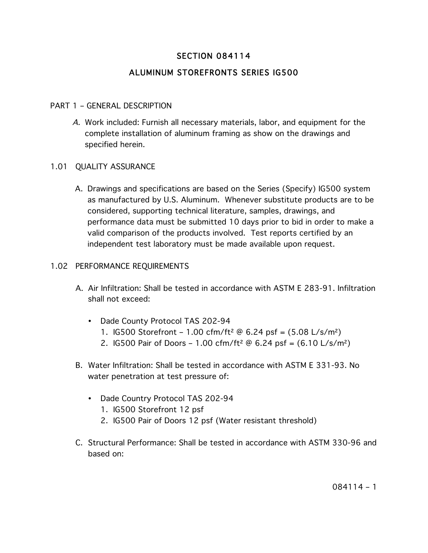# SECTION 084114

# ALUMINUM STOREFRONTS SERIES IG500

# PART 1 – GENERAL DESCRIPTION

A. Work included: Furnish all necessary materials, labor, and equipment for the complete installation of aluminum framing as show on the drawings and specified herein.

#### 1.01 QUALITY ASSURANCE

A. Drawings and specifications are based on the Series (Specify) IG500 system as manufactured by U.S. Aluminum. Whenever substitute products are to be considered, supporting technical literature, samples, drawings, and performance data must be submitted 10 days prior to bid in order to make a valid comparison of the products involved. Test reports certified by an independent test laboratory must be made available upon request.

#### 1.02 PERFORMANCE REQUIREMENTS

- A. Air Infiltration: Shall be tested in accordance with ASTM E 283-91. Infiltration shall not exceed:
	- Dade County Protocol TAS 202-94
		- 1. IG500 Storefront 1.00 cfm/ft² @ 6.24 psf = (5.08 L/s/m²)
		- 2. IG500 Pair of Doors 1.00 cfm/ft<sup>2</sup>  $\omega$  6.24 psf = (6.10 L/s/m<sup>2</sup>)
- B. Water Infiltration: Shall be tested in accordance with ASTM E 331-93. No water penetration at test pressure of:
	- Dade Country Protocol TAS 202-94
		- 1. IG500 Storefront 12 psf
		- 2. IG500 Pair of Doors 12 psf (Water resistant threshold)
- C. Structural Performance: Shall be tested in accordance with ASTM 330-96 and based on: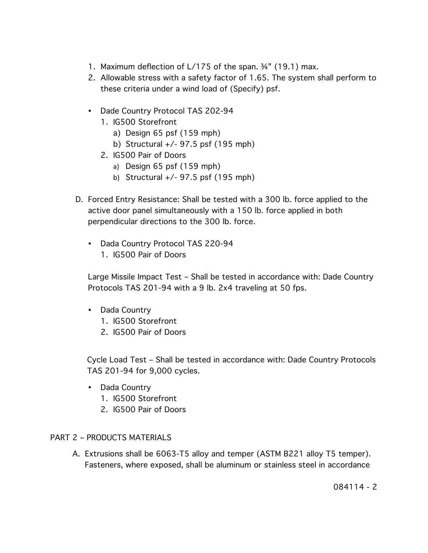- 1. Maximum deflection of L/175 of the span. ¾" (19.1) max.
- 2. Allowable stress with a safety factor of 1.65. The system shall perform to these criteria under a wind load of (Specify) psf.
- Dade Country Protocol TAS 202-94
	- 1. IG500 Storefront
		- a) Design 65 psf (159 mph)
		- b) Structural +/- 97.5 psf (195 mph)
	- 2. IG500 Pair of Doors
		- a) Design 65 psf (159 mph)
		- b) Structural +/- 97.5 psf (195 mph)
- D. Forced Entry Resistance: Shall be tested with a 300 lb. force applied to the active door panel simultaneously with a 150 lb. force applied in both perpendicular directions to the 300 lb. force.
	- Dada Country Protocol TAS 220-94 1. IG500 Pair of Doors

Large Missile Impact Test – Shall be tested in accordance with: Dade Country Protocols TAS 201-94 with a 9 lb. 2x4 traveling at 50 fps.

- Dada Country
	- 1. IG500 Storefront
	- 2. IG500 Pair of Doors

Cycle Load Test – Shall be tested in accordance with: Dade Country Protocols TAS 201-94 for 9,000 cycles.

- Dada Country
	- 1. IG500 Storefront
	- 2. IG500 Pair of Doors

# PART 2 – PRODUCTS MATERIALS

A. Extrusions shall be 6063-T5 alloy and temper (ASTM B221 alloy T5 temper). Fasteners, where exposed, shall be aluminum or stainless steel in accordance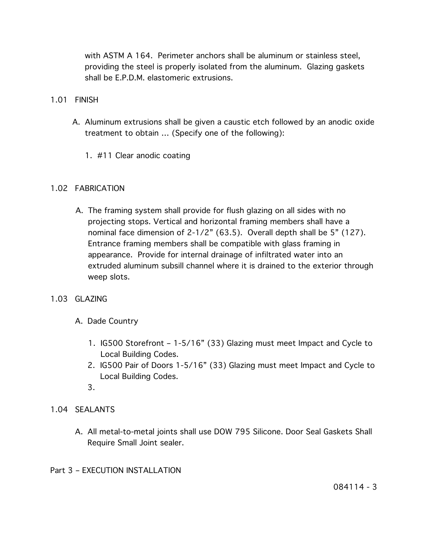with ASTM A 164. Perimeter anchors shall be aluminum or stainless steel, providing the steel is properly isolated from the aluminum. Glazing gaskets shall be E.P.D.M. elastomeric extrusions.

- 1.01 FINISH
	- A. Aluminum extrusions shall be given a caustic etch followed by an anodic oxide treatment to obtain … (Specify one of the following):
		- 1. #11 Clear anodic coating

# 1.02 FABRICATION

- A. The framing system shall provide for flush glazing on all sides with no projecting stops. Vertical and horizontal framing members shall have a nominal face dimension of 2-1/2" (63.5). Overall depth shall be 5" (127). Entrance framing members shall be compatible with glass framing in appearance. Provide for internal drainage of infiltrated water into an extruded aluminum subsill channel where it is drained to the exterior through weep slots.
- 1.03 GLAZING
	- A. Dade Country
		- 1. IG500 Storefront 1-5/16" (33) Glazing must meet Impact and Cycle to Local Building Codes.
		- 2. IG500 Pair of Doors 1-5/16" (33) Glazing must meet Impact and Cycle to Local Building Codes.
		- 3.
- 1.04 SEALANTS
	- A. All metal-to-metal joints shall use DOW 795 Silicone. Door Seal Gaskets Shall Require Small Joint sealer.
- Part 3 EXECUTION INSTALLATION